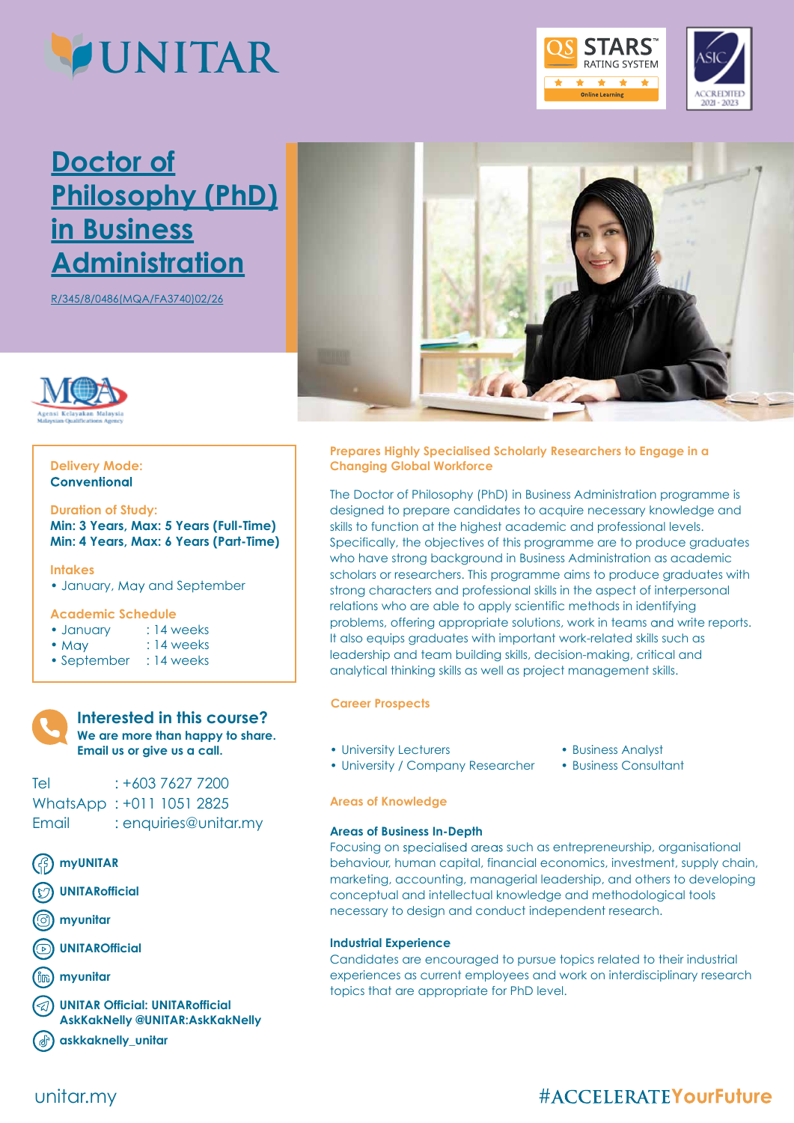

# **Doctor of Philosophy (PhD) in Business Administration**

R/345/8/0486(MQA/FA3740)02/26



# **Delivery Mode:**

### **Duration of Study:**

**Min: 3 Years, Max: 5 Years (Full-Time) Min: 4 Years, Max: 6 Years (Part-Time)**

#### **Intakes**

• January, May and September

#### **Academic Schedule**

| · January | : 14 weeks |
|-----------|------------|
|           |            |

- May : 14 weeks
- September : 14 weeks
- 

### **Interested in this course? We are more than happy to share. Email us or give us a call.**

Tel : +603 7627 7200 WhatsApp : +011 1051 2825 Email : enquiries@unitar.my

- **myUNITAR**
- **UNITARofficial**
- **myunitar**
- **UNITAROfficial**
- **myunitar**

**UNITAR Official: UNITARofficial AskKakNelly @UNITAR:AskKakNelly**

**askkaknelly\_unitar**



**RATING SYSTEM** \* \* e Learning

2021 - 2023

**Prepares Highly Specialised Scholarly Researchers to Engage in a Changing Global Workforce**

The Doctor of Philosophy (PhD) in Business Administration programme is designed to prepare candidates to acquire necessary knowledge and skills to function at the highest academic and professional levels. Specifically, the objectives of this programme are to produce graduates who have strong background in Business Administration as academic scholars or researchers. This programme aims to produce graduates with strong characters and professional skills in the aspect of interpersonal relations who are able to apply scientific methods in identifying problems, offering appropriate solutions, work in teams and write reports. It also equips graduates with important work-related skills such as leadership and team building skills, decision-making, critical and analytical thinking skills as well as project management skills.

#### **Career Prospects**

- University Lecturers
- Business Analyst
- University / Company Researcher • Business Consultant

#### **Areas of Knowledge**

#### **Areas of Business In-Depth**

Focusing on specialised areas such as entrepreneurship, organisational behaviour, human capital, financial economics, investment, supply chain, marketing, accounting, managerial leadership, and others to developing conceptual and intellectual knowledge and methodological tools necessary to design and conduct independent research.

#### **Industrial Experience**

Candidates are encouraged to pursue topics related to their industrial experiences as current employees and work on interdisciplinary research topics that are appropriate for PhD level.

# unitar.my

# #ACCELERATEYourFuture